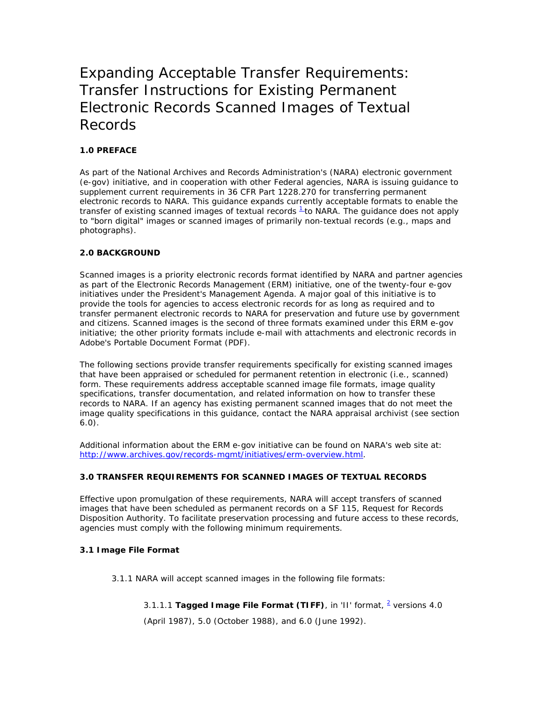# Expanding Acceptable Transfer Requirements: Transfer Instructions for Existing Permanent Electronic Records Scanned Images of Textual Records

# **1.0 PREFACE**

As part of the National Archives and Records Administration's (NARA) electronic government (e-gov) initiative, and in cooperation with other Federal agencies, NARA is issuing guidance to supplement current requirements in 36 CFR Part 1228.270 for transferring permanent electronic records to NARA. This guidance expands currently acceptable formats to enable the transfer of existing scanned images of textual records  $\frac{1}{1}$  to NARA. The guidance does not apply to "born digital" images or scanned images of primarily non-textual records (e.g., maps and photographs).

## **2.0 BACKGROUND**

Scanned images is a priority electronic records format identified by NARA and partner agencies as part of the Electronic Records Management (ERM) initiative, one of the twenty-four e-gov initiatives under the President's Management Agenda. A major goal of this initiative is to provide the tools for agencies to access electronic records for as long as required and to transfer permanent electronic records to NARA for preservation and future use by government and citizens. Scanned images is the second of three formats examined under this ERM e-gov initiative; the other priority formats include e-mail with attachments and electronic records in Adobe's Portable Document Format (PDF).

The following sections provide transfer requirements specifically for existing scanned images that have been appraised or scheduled for permanent retention in electronic (i.e., scanned) form. These requirements address acceptable scanned image file formats, image quality specifications, transfer documentation, and related information on how to transfer these records to NARA. If an agency has existing permanent scanned images that do not meet the image quality specifications in this guidance, contact the NARA appraisal archivist (see section 6.0).

Additional information about the ERM e-gov initiative can be found on NARA's web site at: [http://www.archives.gov/records-mgmt/initiatives/erm-overview.html.](http://www.archives.gov/records-mgmt/initiatives/erm-overview.html)

## **3.0 TRANSFER REQUIREMENTS FOR SCANNED IMAGES OF TEXTUAL RECORDS**

Effective upon promulgation of these requirements, NARA will accept transfers of scanned images that have been scheduled as permanent records on a SF 115, Request for Records Disposition Authority. To facilitate preservation processing and future access to these records, agencies must comply with the following minimum requirements.

## **3.1 Image File Format**

3.1.1 NARA will accept scanned images in the following file formats:

# 3.1.1.1 Tagged I mage File Format (TIFF), in 'II' format, <sup>2</sup> versions 4.0

(April 1987), 5.0 (October 1988), and 6.0 (June 1992).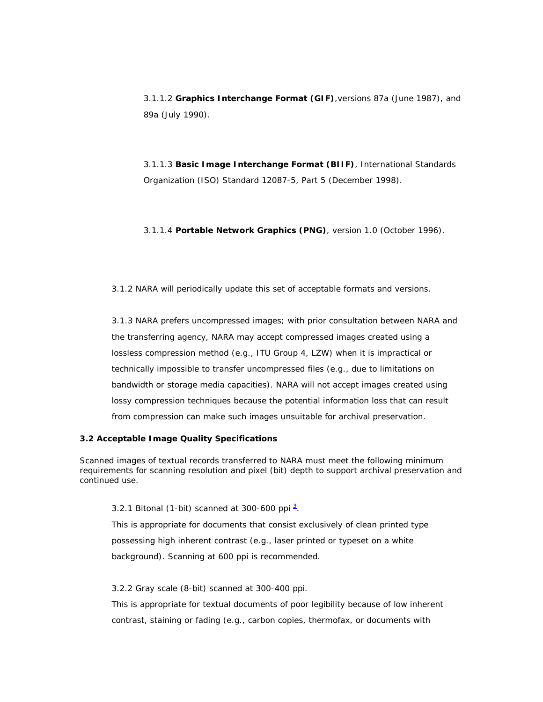3.1.1.2 **Graphics Interchange Format (GIF)**,versions 87a (June 1987), and 89a (July 1990).

3.1.1.3 **Basic Image Interchange Format (BIIF)**, International Standards Organization (ISO) Standard 12087-5, Part 5 (December 1998).

3.1.1.4 **Portable Network Graphics (PNG)**, version 1.0 (October 1996).

3.1.2 NARA will periodically update this set of acceptable formats and versions.

3.1.3 NARA prefers uncompressed images; with prior consultation between NARA and the transferring agency, NARA may accept compressed images created using a lossless compression method (e.g., ITU Group 4, LZW) when it is impractical or technically impossible to transfer uncompressed files (e.g., due to limitations on bandwidth or storage media capacities). NARA will not accept images created using lossy compression techniques because the potential information loss that can result from compression can make such images unsuitable for archival preservation.

# **3.2 Acceptable Image Quality Specifications**

Scanned images of textual records transferred to NARA must meet the following minimum requirements for scanning resolution and pixel (bit) depth to support archival preservation and continued use.

#### 3.2.1 *Bitonal (1-bit) scanned at 300-600 ppi* [3](http://www.archives.gov/records-mgmt/initiatives/scanned-textual.html?template=print#3#3) .

This is appropriate for documents that consist exclusively of clean printed type possessing high inherent contrast (e.g., laser printed or typeset on a white background). Scanning at 600 ppi is recommended.

## 3.2.2 *Gray scale (8-bit) scanned at 300-400 ppi.*

This is appropriate for textual documents of poor legibility because of low inherent contrast, staining or fading (e.g., carbon copies, thermofax, or documents with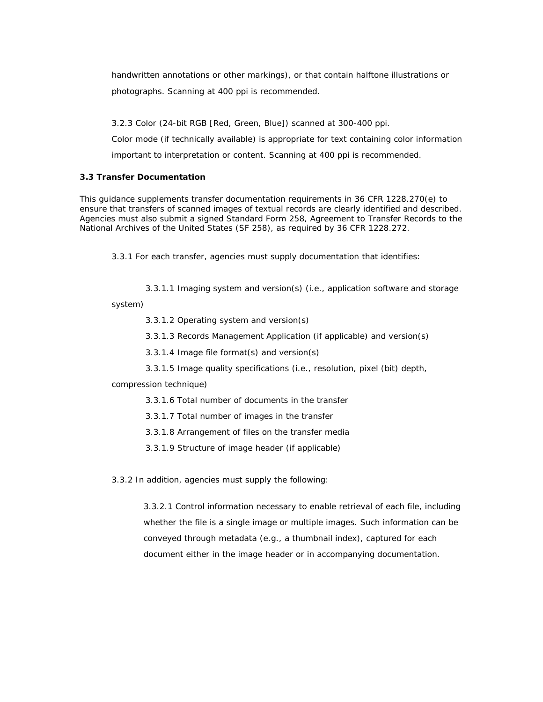handwritten annotations or other markings), or that contain halftone illustrations or photographs. Scanning at 400 ppi is recommended.

3.2.3 *Color (24-bit RGB [Red, Green, Blue]) scanned at 300-400 ppi.*

Color mode (if technically available) is appropriate for text containing color information important to interpretation or content. Scanning at 400 ppi is recommended.

## **3.3 Transfer Documentation**

This guidance supplements transfer documentation requirements in 36 CFR 1228.270(e) to ensure that transfers of scanned images of textual records are clearly identified and described. Agencies must also submit a signed *Standard Form 258, Agreement to Transfer Records to the National Archives of the United States (SF 258)*, as required by 36 CFR 1228.272.

3.3.1 For each transfer, agencies must supply documentation that identifies:

3.3.1.1 Imaging system and version(s) (i.e., application software and storage

system)

3.3.1.2 Operating system and version(s)

3.3.1.3 Records Management Application (if applicable) and version(s)

3.3.1.4 Image file format(s) and version(s)

3.3.1.5 Image quality specifications (i.e., resolution, pixel (bit) depth,

compression technique)

3.3.1.6 Total number of documents in the transfer

3.3.1.7 Total number of images in the transfer

3.3.1.8 Arrangement of files on the transfer media

3.3.1.9 Structure of image header (if applicable)

3.3.2 In addition, agencies must supply the following:

3.3.2.1 Control information necessary to enable retrieval of each file, including whether the file is a single image or multiple images. Such information can be conveyed through metadata (e.g., a thumbnail index), captured for each document either in the image header or in accompanying documentation.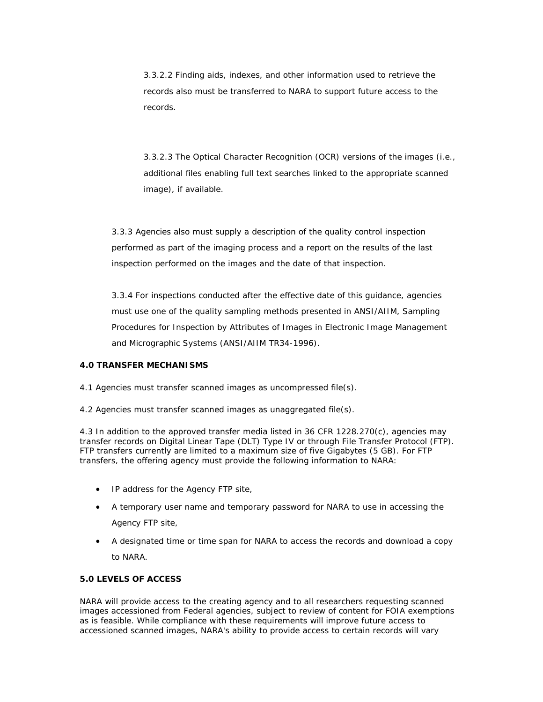3.3.2.2 Finding aids, indexes, and other information used to retrieve the records also must be transferred to NARA to support future access to the records.

3.3.2.3 The Optical Character Recognition (OCR) versions of the images (i.e., additional files enabling full text searches linked to the appropriate scanned image), if available.

3.3.3 Agencies also must supply a description of the quality control inspection performed as part of the imaging process and a report on the results of the last inspection performed on the images and the date of that inspection.

3.3.4 For inspections conducted after the effective date of this guidance, agencies must use one of the quality sampling methods presented in ANSI/AIIM, *Sampling Procedures for Inspection by Attributes of Images in Electronic Image Management and Micrographic Systems (ANSI/AIIM TR34-1996)*.

## **4.0 TRANSFER MECHANISMS**

4.1 Agencies must transfer scanned images as uncompressed file(s).

4.2 Agencies must transfer scanned images as unaggregated file(s).

4.3 In addition to the approved transfer media listed in 36 CFR 1228.270(c), agencies may transfer records on Digital Linear Tape (DLT) Type IV or through File Transfer Protocol (FTP). FTP transfers currently are limited to a maximum size of five Gigabytes (5 GB). For FTP transfers, the offering agency must provide the following information to NARA:

- IP address for the Agency FTP site,
- A temporary user name and temporary password for NARA to use in accessing the Agency FTP site,
- A designated time or time span for NARA to access the records and download a copy to NARA.

## **5.0 LEVELS OF ACCESS**

NARA will provide access to the creating agency and to all researchers requesting scanned images accessioned from Federal agencies, subject to review of content for FOIA exemptions as is feasible. While compliance with these requirements will improve future access to accessioned scanned images, NARA's ability to provide access to certain records will vary